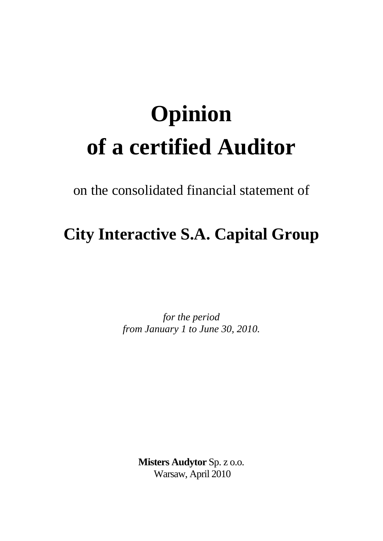## **Opinion of a certified Auditor**

on the consolidated financial statement of

## **City Interactive S.A. Capital Group**

*for the period from January 1 to June 30, 2010.*

> **Misters Audytor** Sp. z o.o. Warsaw, April 2010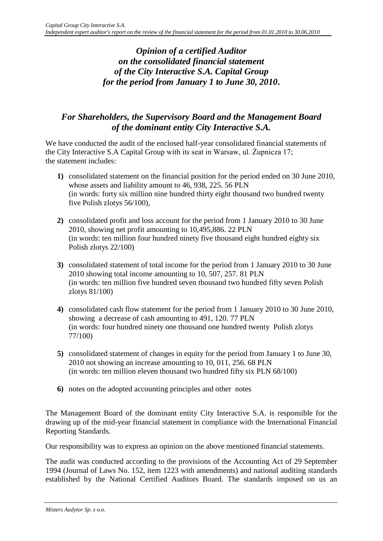## *Opinion of a certified Auditor on the consolidated financial statement of the City Interactive S.A. Capital Group for the period from January 1 to June 30, 2010***.**

## *For Shareholders, the Supervisory Board and the Management Board of the dominant entity City Interactive S.A.*

We have conducted the audit of the enclosed half-year consolidated financial statements of the City Interactive S.A Capital Group with its seat in Warsaw, ul. Żupnicza 17; the statement includes:

- **1)** consolidated statement on the financial position for the period ended on 30 June 2010, whose assets and liability amount to 46, 938, 225. 56 PLN (in words: forty six million nine hundred thirty eight thousand two hundred twenty five Polish zlotys 56/100),
- **2)** consolidated profit and loss account for the period from 1 January 2010 to 30 June 2010, showing net profit amounting to 10,495,886. 22 PLN (in words: ten million four hundred ninety five thousand eight hundred eighty six Polish zlotys 22/100)
- **3)** consolidated statement of total income for the period from 1 January 2010 to 30 June 2010 showing total income amounting to 10, 507, 257. 81 PLN (in words: ten million five hundred seven thousand two hundred fifty seven Polish zlotys 81/100)
- **4)** consolidated cash flow statement for the period from 1 January 2010 to 30 June 2010, showing a decrease of cash amounting to 491, 120. 77 PLN (in words: four hundred ninety one thousand one hundred twenty Polish zlotys 77/100)
- **5)** consolidated statement of changes in equity for the period from January 1 to June 30, 2010 not showing an increase amounting to 10, 011, 256. 68 PLN (in words: ten million eleven thousand two hundred fifty six PLN 68/100)
- **6)** notes on the adopted accounting principles and other notes

The Management Board of the dominant entity City Interactive S.A. is responsible for the drawing up of the mid-year financial statement in compliance with the International Financial Reporting Standards.

Our responsibility was to express an opinion on the above mentioned financial statements.

The audit was conducted according to the provisions of the Accounting Act of 29 September 1994 (Journal of Laws No. 152, item 1223 with amendments) and national auditing standards established by the National Certified Auditors Board. The standards imposed on us an